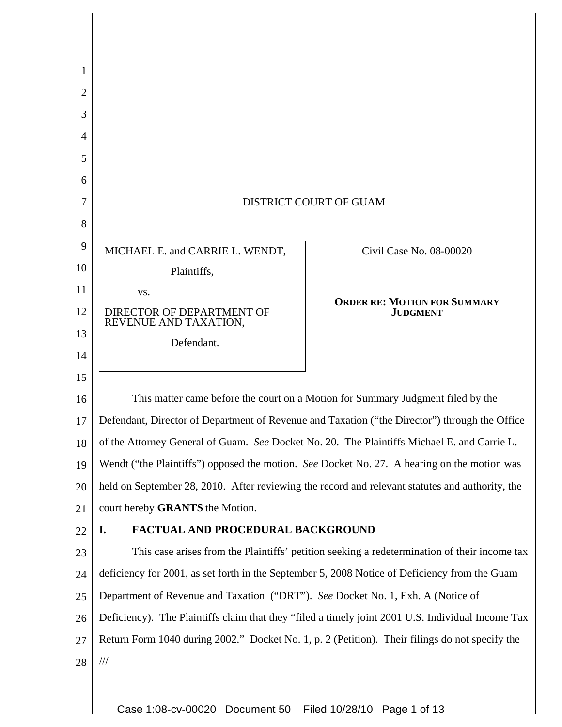| 1  |                                                                                                   |                                                                                              |
|----|---------------------------------------------------------------------------------------------------|----------------------------------------------------------------------------------------------|
| 2  |                                                                                                   |                                                                                              |
| 3  |                                                                                                   |                                                                                              |
| 4  |                                                                                                   |                                                                                              |
| 5  |                                                                                                   |                                                                                              |
| 6  |                                                                                                   |                                                                                              |
| 7  | <b>DISTRICT COURT OF GUAM</b>                                                                     |                                                                                              |
| 8  |                                                                                                   |                                                                                              |
| 9  | MICHAEL E. and CARRIE L. WENDT,                                                                   | Civil Case No. 08-00020                                                                      |
| 10 | Plaintiffs,                                                                                       |                                                                                              |
| 11 | VS.                                                                                               | <b>ORDER RE: MOTION FOR SUMMARY</b>                                                          |
| 12 | DIRECTOR OF DEPARTMENT OF<br>REVENUE AND TAXATION,                                                | <b>JUDGMENT</b>                                                                              |
| 13 | Defendant.                                                                                        |                                                                                              |
| 14 |                                                                                                   |                                                                                              |
| 15 |                                                                                                   |                                                                                              |
| 16 | This matter came before the court on a Motion for Summary Judgment filed by the                   |                                                                                              |
| 17 | Defendant, Director of Department of Revenue and Taxation ("the Director") through the Office     |                                                                                              |
| 18 | of the Attorney General of Guam. See Docket No. 20. The Plaintiffs Michael E. and Carrie L.       |                                                                                              |
| 19 | Wendt ("the Plaintiffs") opposed the motion. See Docket No. 27. A hearing on the motion was       |                                                                                              |
| 20 | held on September 28, 2010. After reviewing the record and relevant statutes and authority, the   |                                                                                              |
| 21 | court hereby GRANTS the Motion.                                                                   |                                                                                              |
| 22 | FACTUAL AND PROCEDURAL BACKGROUND<br>I.                                                           |                                                                                              |
| 23 |                                                                                                   | This case arises from the Plaintiffs' petition seeking a redetermination of their income tax |
| 24 | deficiency for 2001, as set forth in the September 5, 2008 Notice of Deficiency from the Guam     |                                                                                              |
| 25 | Department of Revenue and Taxation ("DRT"). See Docket No. 1, Exh. A (Notice of                   |                                                                                              |
| 26 | Deficiency). The Plaintiffs claim that they "filed a timely joint 2001 U.S. Individual Income Tax |                                                                                              |
| 27 | Return Form 1040 during 2002." Docket No. 1, p. 2 (Petition). Their filings do not specify the    |                                                                                              |
| 28 | $\frac{1}{1}$                                                                                     |                                                                                              |
|    |                                                                                                   |                                                                                              |

Case 1:08-cv-00020 Document 50 Filed 10/28/10 Page 1 of 13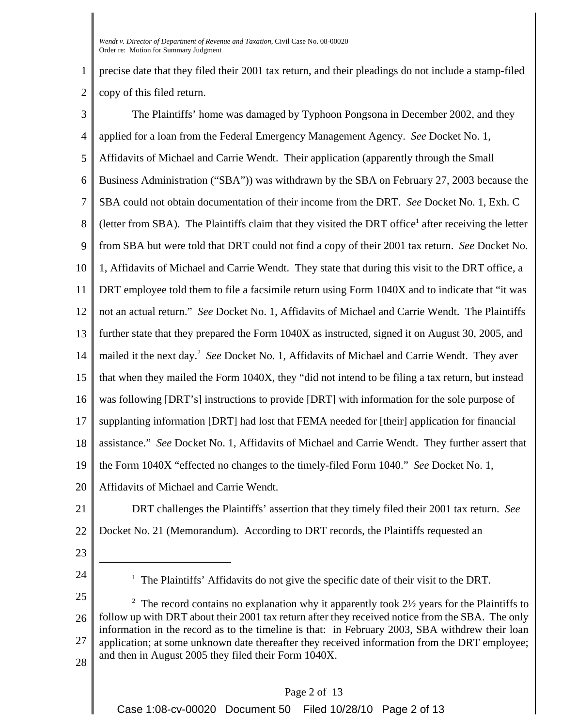1 2 precise date that they filed their 2001 tax return, and their pleadings do not include a stamp-filed copy of this filed return.

3 4 5 6 7 8 9 10 11 12 13 14 15 16 17 18 19 20 The Plaintiffs' home was damaged by Typhoon Pongsona in December 2002, and they applied for a loan from the Federal Emergency Management Agency. *See* Docket No. 1, Affidavits of Michael and Carrie Wendt. Their application (apparently through the Small Business Administration ("SBA")) was withdrawn by the SBA on February 27, 2003 because the SBA could not obtain documentation of their income from the DRT. *See* Docket No. 1, Exh. C (letter from SBA). The Plaintiffs claim that they visited the DRT office<sup>1</sup> after receiving the letter from SBA but were told that DRT could not find a copy of their 2001 tax return. *See* Docket No. 1, Affidavits of Michael and Carrie Wendt. They state that during this visit to the DRT office, a DRT employee told them to file a facsimile return using Form 1040X and to indicate that "it was not an actual return." *See* Docket No. 1, Affidavits of Michael and Carrie Wendt. The Plaintiffs further state that they prepared the Form 1040X as instructed, signed it on August 30, 2005, and mailed it the next day.<sup>2</sup> See Docket No. 1, Affidavits of Michael and Carrie Wendt. They aver that when they mailed the Form 1040X, they "did not intend to be filing a tax return, but instead was following [DRT's] instructions to provide [DRT] with information for the sole purpose of supplanting information [DRT] had lost that FEMA needed for [their] application for financial assistance." *See* Docket No. 1, Affidavits of Michael and Carrie Wendt. They further assert that the Form 1040X "effected no changes to the timely-filed Form 1040." *See* Docket No. 1, Affidavits of Michael and Carrie Wendt.

21 22 DRT challenges the Plaintiffs' assertion that they timely filed their 2001 tax return. *See* Docket No. 21 (Memorandum). According to DRT records, the Plaintiffs requested an

- 23
- 24

Case 1:08-cv-00020 Document 50 Filed 10/28/10 Page 2 of 13

<sup>&</sup>lt;sup>1</sup> The Plaintiffs' Affidavits do not give the specific date of their visit to the DRT.

<sup>25</sup> 26 27 28 <sup>2</sup> The record contains no explanation why it apparently took  $2\frac{1}{2}$  years for the Plaintiffs to follow up with DRT about their 2001 tax return after they received notice from the SBA. The only information in the record as to the timeline is that: in February 2003, SBA withdrew their loan application; at some unknown date thereafter they received information from the DRT employee; and then in August 2005 they filed their Form 1040X.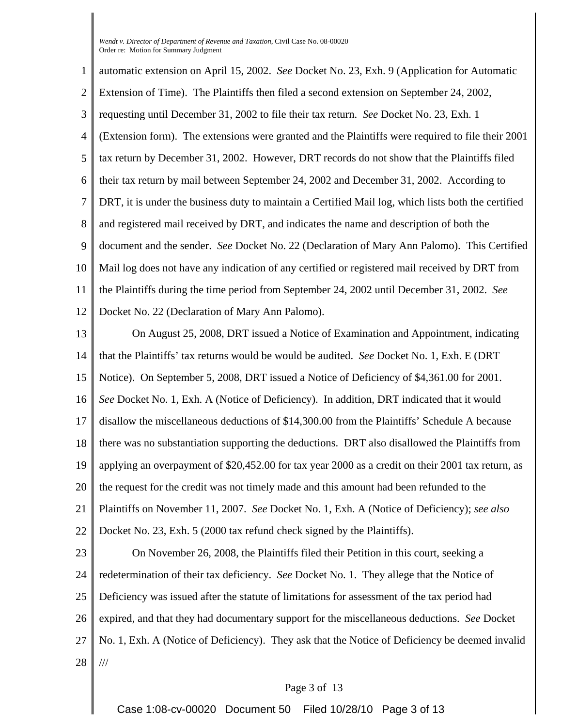1 2 3 4 5 6 7 8 9 10 11 12 automatic extension on April 15, 2002. *See* Docket No. 23, Exh. 9 (Application for Automatic Extension of Time). The Plaintiffs then filed a second extension on September 24, 2002, requesting until December 31, 2002 to file their tax return. *See* Docket No. 23, Exh. 1 (Extension form). The extensions were granted and the Plaintiffs were required to file their 2001 tax return by December 31, 2002. However, DRT records do not show that the Plaintiffs filed their tax return by mail between September 24, 2002 and December 31, 2002. According to DRT, it is under the business duty to maintain a Certified Mail log, which lists both the certified and registered mail received by DRT, and indicates the name and description of both the document and the sender. *See* Docket No. 22 (Declaration of Mary Ann Palomo). This Certified Mail log does not have any indication of any certified or registered mail received by DRT from the Plaintiffs during the time period from September 24, 2002 until December 31, 2002. *See* Docket No. 22 (Declaration of Mary Ann Palomo).

13 14 15 16 17 18 19 20 21 22 23 On August 25, 2008, DRT issued a Notice of Examination and Appointment, indicating that the Plaintiffs' tax returns would be would be audited. *See* Docket No. 1, Exh. E (DRT Notice). On September 5, 2008, DRT issued a Notice of Deficiency of \$4,361.00 for 2001. *See* Docket No. 1, Exh. A (Notice of Deficiency). In addition, DRT indicated that it would disallow the miscellaneous deductions of \$14,300.00 from the Plaintiffs' Schedule A because there was no substantiation supporting the deductions. DRT also disallowed the Plaintiffs from applying an overpayment of \$20,452.00 for tax year 2000 as a credit on their 2001 tax return, as the request for the credit was not timely made and this amount had been refunded to the Plaintiffs on November 11, 2007. *See* Docket No. 1, Exh. A (Notice of Deficiency); *see also* Docket No. 23, Exh. 5 (2000 tax refund check signed by the Plaintiffs).

24 25 26 27 28 On November 26, 2008, the Plaintiffs filed their Petition in this court, seeking a redetermination of their tax deficiency. *See* Docket No. 1. They allege that the Notice of Deficiency was issued after the statute of limitations for assessment of the tax period had expired, and that they had documentary support for the miscellaneous deductions. *See* Docket No. 1, Exh. A (Notice of Deficiency).They ask that the Notice of Deficiency be deemed invalid ///

## Page 3 of 13

Case 1:08-cv-00020 Document 50 Filed 10/28/10 Page 3 of 13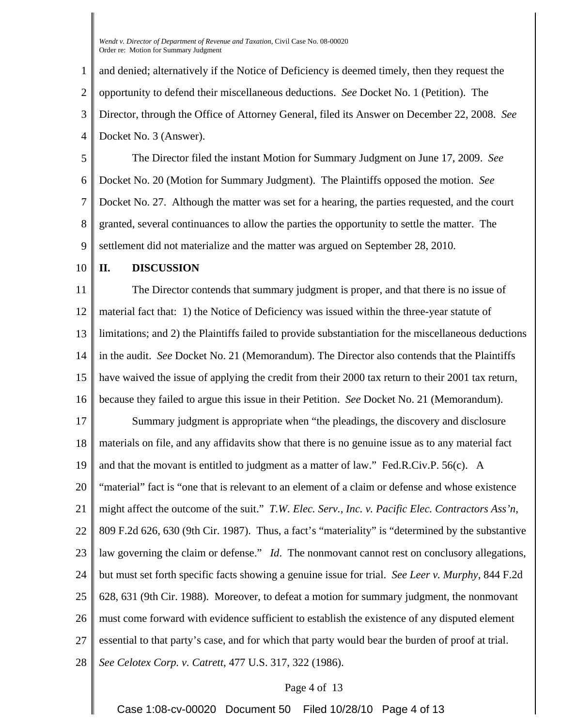1 2 3 4 and denied; alternatively if the Notice of Deficiency is deemed timely, then they request the opportunity to defend their miscellaneous deductions. *See* Docket No. 1 (Petition). The Director, through the Office of Attorney General, filed its Answer on December 22, 2008. *See* Docket No. 3 (Answer).

5 6 7 8 9 The Director filed the instant Motion for Summary Judgment on June 17, 2009. *See* Docket No. 20 (Motion for Summary Judgment). The Plaintiffs opposed the motion. *See* Docket No. 27. Although the matter was set for a hearing, the parties requested, and the court granted, several continuances to allow the parties the opportunity to settle the matter. The settlement did not materialize and the matter was argued on September 28, 2010.

#### 10 **II. DISCUSSION**

11 12 13 14 15 16 The Director contends that summary judgment is proper, and that there is no issue of material fact that: 1) the Notice of Deficiency was issued within the three-year statute of limitations; and 2) the Plaintiffs failed to provide substantiation for the miscellaneous deductions in the audit. *See* Docket No. 21 (Memorandum). The Director also contends that the Plaintiffs have waived the issue of applying the credit from their 2000 tax return to their 2001 tax return, because they failed to argue this issue in their Petition. *See* Docket No. 21 (Memorandum).

17 18 19 20 21 22 23 24 25 26 27 28 Summary judgment is appropriate when "the pleadings, the discovery and disclosure materials on file, and any affidavits show that there is no genuine issue as to any material fact and that the movant is entitled to judgment as a matter of law." Fed.R.Civ.P. 56(c). A "material" fact is "one that is relevant to an element of a claim or defense and whose existence might affect the outcome of the suit." *T.W. Elec. Serv., Inc. v. Pacific Elec. Contractors Ass'n*, 809 F.2d 626, 630 (9th Cir. 1987). Thus, a fact's "materiality" is "determined by the substantive law governing the claim or defense." *Id*. The nonmovant cannot rest on conclusory allegations, but must set forth specific facts showing a genuine issue for trial. *See Leer v. Murphy*, 844 F.2d 628, 631 (9th Cir. 1988). Moreover, to defeat a motion for summary judgment, the nonmovant must come forward with evidence sufficient to establish the existence of any disputed element essential to that party's case, and for which that party would bear the burden of proof at trial. *See Celotex Corp. v. Catrett*, 477 U.S. 317, 322 (1986).

### Page 4 of 13

Case 1:08-cv-00020 Document 50 Filed 10/28/10 Page 4 of 13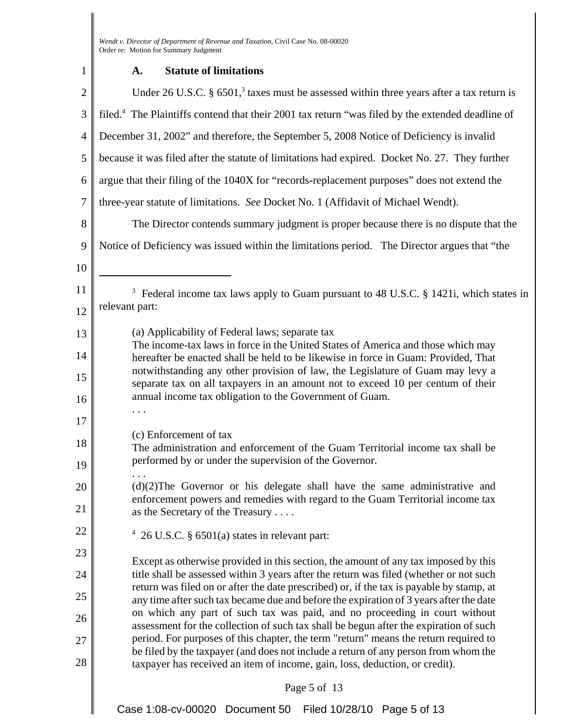| 1              | <b>Statute of limitations</b><br>A.                                                                                                                                                                                                                                                                                                         |  |
|----------------|---------------------------------------------------------------------------------------------------------------------------------------------------------------------------------------------------------------------------------------------------------------------------------------------------------------------------------------------|--|
| $\overline{2}$ | Under 26 U.S.C. $\S$ 6501, <sup>3</sup> taxes must be assessed within three years after a tax return is                                                                                                                                                                                                                                     |  |
| 3              | filed. <sup>4</sup> The Plaintiffs contend that their 2001 tax return "was filed by the extended deadline of                                                                                                                                                                                                                                |  |
| $\overline{4}$ | December 31, 2002" and therefore, the September 5, 2008 Notice of Deficiency is invalid                                                                                                                                                                                                                                                     |  |
| 5              | because it was filed after the statute of limitations had expired. Docket No. 27. They further                                                                                                                                                                                                                                              |  |
| 6              | argue that their filing of the 1040X for "records-replacement purposes" does not extend the                                                                                                                                                                                                                                                 |  |
| $\overline{7}$ | three-year statute of limitations. See Docket No. 1 (Affidavit of Michael Wendt).                                                                                                                                                                                                                                                           |  |
| 8              | The Director contends summary judgment is proper because there is no dispute that the                                                                                                                                                                                                                                                       |  |
| 9              | Notice of Deficiency was issued within the limitations period. The Director argues that "the                                                                                                                                                                                                                                                |  |
| 10             |                                                                                                                                                                                                                                                                                                                                             |  |
| 11             | <sup>3</sup> Federal income tax laws apply to Guam pursuant to 48 U.S.C. § 1421i, which states in                                                                                                                                                                                                                                           |  |
| 12             | relevant part:                                                                                                                                                                                                                                                                                                                              |  |
| 13             | (a) Applicability of Federal laws; separate tax                                                                                                                                                                                                                                                                                             |  |
| 14             | The income-tax laws in force in the United States of America and those which may<br>hereafter be enacted shall be held to be likewise in force in Guam: Provided, That<br>notwithstanding any other provision of law, the Legislature of Guam may levy a<br>separate tax on all taxpayers in an amount not to exceed 10 per centum of their |  |
| 15             |                                                                                                                                                                                                                                                                                                                                             |  |
| 16             | annual income tax obligation to the Government of Guam.                                                                                                                                                                                                                                                                                     |  |
| 17             |                                                                                                                                                                                                                                                                                                                                             |  |
| 18             | (c) Enforcement of tax<br>The administration and enforcement of the Guam Territorial income tax shall be                                                                                                                                                                                                                                    |  |
| 19             | performed by or under the supervision of the Governor.                                                                                                                                                                                                                                                                                      |  |
| 20             | $(d)(2)$ The Governor or his delegate shall have the same administrative and<br>enforcement powers and remedies with regard to the Guam Territorial income tax                                                                                                                                                                              |  |
| 21             | as the Secretary of the Treasury                                                                                                                                                                                                                                                                                                            |  |
| 22             | 26 U.S.C. § 6501(a) states in relevant part:                                                                                                                                                                                                                                                                                                |  |
| 23             | Except as otherwise provided in this section, the amount of any tax imposed by this                                                                                                                                                                                                                                                         |  |
| 24             | title shall be assessed within 3 years after the return was filed (whether or not such<br>return was filed on or after the date prescribed) or, if the tax is payable by stamp, at<br>any time after such tax became due and before the expiration of 3 years after the date                                                                |  |
| 25             |                                                                                                                                                                                                                                                                                                                                             |  |
| 26             | on which any part of such tax was paid, and no proceeding in court without<br>assessment for the collection of such tax shall be begun after the expiration of such                                                                                                                                                                         |  |
| 27             | period. For purposes of this chapter, the term "return" means the return required to<br>be filed by the taxpayer (and does not include a return of any person from whom the                                                                                                                                                                 |  |
| 28             | taxpayer has received an item of income, gain, loss, deduction, or credit).                                                                                                                                                                                                                                                                 |  |
|                | Page 5 of 13                                                                                                                                                                                                                                                                                                                                |  |
|                | Case 1:08-cv-00020 Document 50<br>Filed 10/28/10 Page 5 of 13                                                                                                                                                                                                                                                                               |  |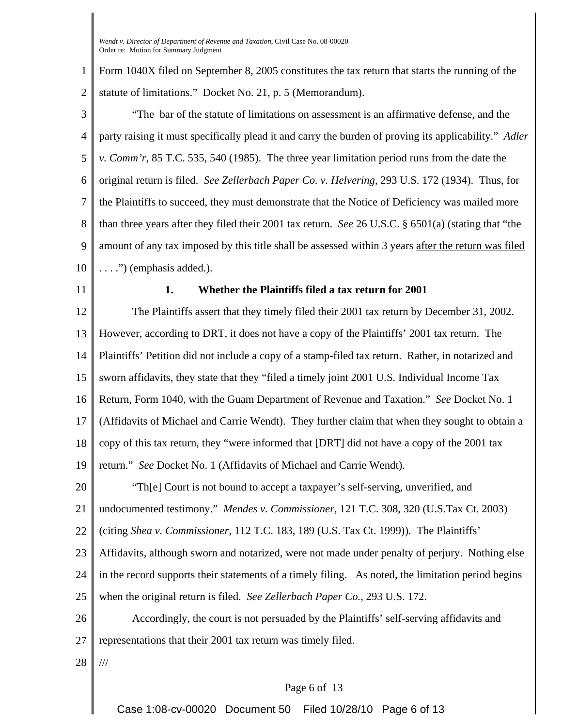1 2 Form 1040X filed on September 8, 2005 constitutes the tax return that starts the running of the statute of limitations." Docket No. 21, p. 5 (Memorandum).

3 4 5 6 7 8 9 10 "The bar of the statute of limitations on assessment is an affirmative defense, and the party raising it must specifically plead it and carry the burden of proving its applicability." *Adler v. Comm'r*, 85 T.C. 535, 540 (1985). The three year limitation period runs from the date the original return is filed. *See Zellerbach Paper Co. v. Helvering*, 293 U.S. 172 (1934). Thus, for the Plaintiffs to succeed, they must demonstrate that the Notice of Deficiency was mailed more than three years after they filed their 2001 tax return. *See* 26 U.S.C. § 6501(a) (stating that "the amount of any tax imposed by this title shall be assessed within 3 years after the return was filed  $\ldots$ .") (emphasis added.).

11

# **1. Whether the Plaintiffs filed a tax return for 2001**

12 13 14 15 16 17 18 19 20 21 22 23 24 25 The Plaintiffs assert that they timely filed their 2001 tax return by December 31, 2002. However, according to DRT, it does not have a copy of the Plaintiffs' 2001 tax return. The Plaintiffs' Petition did not include a copy of a stamp-filed tax return. Rather, in notarized and sworn affidavits, they state that they "filed a timely joint 2001 U.S. Individual Income Tax Return, Form 1040, with the Guam Department of Revenue and Taxation." *See* Docket No. 1 (Affidavits of Michael and Carrie Wendt). They further claim that when they sought to obtain a copy of this tax return, they "were informed that [DRT] did not have a copy of the 2001 tax return." *See* Docket No. 1 (Affidavits of Michael and Carrie Wendt). "Th[e] Court is not bound to accept a taxpayer's self-serving, unverified, and undocumented testimony." *Mendes v. Commissioner*, 121 T.C. 308, 320 (U.S.Tax Ct. 2003) (citing *Shea v. Commissioner*, 112 T.C. 183, 189 (U.S. Tax Ct. 1999)). The Plaintiffs' Affidavits, although sworn and notarized, were not made under penalty of perjury. Nothing else in the record supports their statements of a timely filing. As noted, the limitation period begins when the original return is filed. *See Zellerbach Paper Co.*, 293 U.S. 172.

26 27 Accordingly, the court is not persuaded by the Plaintiffs' self-serving affidavits and representations that their 2001 tax return was timely filed.

28 ///

## Page 6 of 13

Case 1:08-cv-00020 Document 50 Filed 10/28/10 Page 6 of 13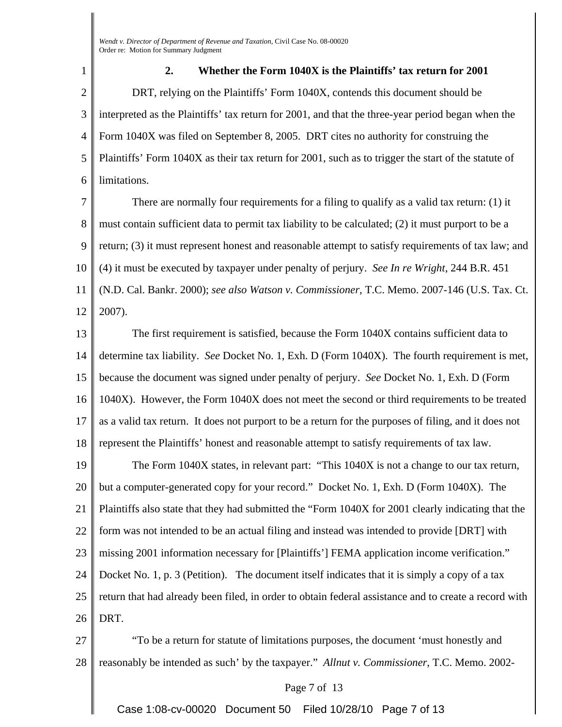1 2 3 4 5 6 **2. Whether the Form 1040X is the Plaintiffs' tax return for 2001** DRT, relying on the Plaintiffs' Form 1040X, contends this document should be interpreted as the Plaintiffs' tax return for 2001, and that the three-year period began when the Form 1040X was filed on September 8, 2005. DRT cites no authority for construing the Plaintiffs' Form 1040X as their tax return for 2001, such as to trigger the start of the statute of limitations.

7 8 9 10 11 12 There are normally four requirements for a filing to qualify as a valid tax return: (1) it must contain sufficient data to permit tax liability to be calculated; (2) it must purport to be a return; (3) it must represent honest and reasonable attempt to satisfy requirements of tax law; and (4) it must be executed by taxpayer under penalty of perjury. *See In re Wright*, 244 B.R. 451 (N.D. Cal. Bankr. 2000); *see also Watson v. Commissioner*, T.C. Memo. 2007-146 (U.S. Tax. Ct. 2007).

13 14 15 16 17 18 The first requirement is satisfied, because the Form 1040X contains sufficient data to determine tax liability. *See* Docket No. 1, Exh. D (Form 1040X). The fourth requirement is met, because the document was signed under penalty of perjury. *See* Docket No. 1, Exh. D (Form 1040X). However, the Form 1040X does not meet the second or third requirements to be treated as a valid tax return. It does not purport to be a return for the purposes of filing, and it does not represent the Plaintiffs' honest and reasonable attempt to satisfy requirements of tax law.

19 20 21 22 23 24 25 26 The Form 1040X states, in relevant part: "This 1040X is not a change to our tax return, but a computer-generated copy for your record." Docket No. 1, Exh. D (Form 1040X). The Plaintiffs also state that they had submitted the "Form 1040X for 2001 clearly indicating that the form was not intended to be an actual filing and instead was intended to provide [DRT] with missing 2001 information necessary for [Plaintiffs'] FEMA application income verification." Docket No. 1, p. 3 (Petition). The document itself indicates that it is simply a copy of a tax return that had already been filed, in order to obtain federal assistance and to create a record with DRT.

27 28 "To be a return for statute of limitations purposes, the document 'must honestly and reasonably be intended as such' by the taxpayer." *Allnut v. Commissioner*, T.C. Memo. 2002-

### Page 7 of 13

Case 1:08-cv-00020 Document 50 Filed 10/28/10 Page 7 of 13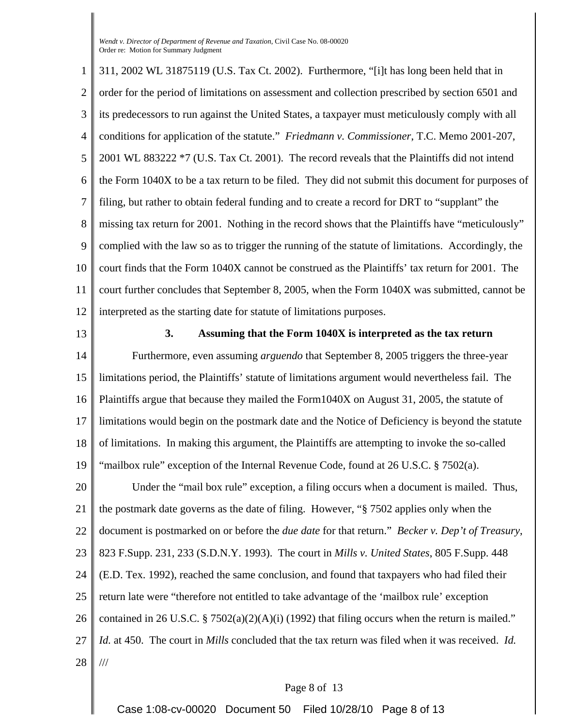1 2 3 4 5 6 7 8 9 10 11 12 311, 2002 WL 31875119 (U.S. Tax Ct. 2002). Furthermore, "[i]t has long been held that in order for the period of limitations on assessment and collection prescribed by section 6501 and its predecessors to run against the United States, a taxpayer must meticulously comply with all conditions for application of the statute." *Friedmann v. Commissioner*, T.C. Memo 2001-207, 2001 WL 883222 \*7 (U.S. Tax Ct. 2001). The record reveals that the Plaintiffs did not intend the Form 1040X to be a tax return to be filed. They did not submit this document for purposes of filing, but rather to obtain federal funding and to create a record for DRT to "supplant" the missing tax return for 2001. Nothing in the record shows that the Plaintiffs have "meticulously" complied with the law so as to trigger the running of the statute of limitations. Accordingly, the court finds that the Form 1040X cannot be construed as the Plaintiffs' tax return for 2001. The court further concludes that September 8, 2005, when the Form 1040X was submitted, cannot be interpreted as the starting date for statute of limitations purposes.

13

# **3. Assuming that the Form 1040X is interpreted as the tax return**

14 15 16 17 18 19 Furthermore, even assuming *arguendo* that September 8, 2005 triggers the three-year limitations period, the Plaintiffs' statute of limitations argument would nevertheless fail. The Plaintiffs argue that because they mailed the Form1040X on August 31, 2005, the statute of limitations would begin on the postmark date and the Notice of Deficiency is beyond the statute of limitations. In making this argument, the Plaintiffs are attempting to invoke the so-called "mailbox rule" exception of the Internal Revenue Code, found at  $26 \text{ U.S.C.}$  §  $7502(a)$ .

20 21 22 23 24 25 26 27 28 Under the "mail box rule" exception, a filing occurs when a document is mailed. Thus, the postmark date governs as the date of filing. However, "§ 7502 applies only when the document is postmarked on or before the *due date* for that return." *Becker v. Dep't of Treasury*, 823 F.Supp. 231, 233 (S.D.N.Y. 1993). The court in *Mills v. United States*, 805 F.Supp. 448 (E.D. Tex. 1992), reached the same conclusion, and found that taxpayers who had filed their return late were "therefore not entitled to take advantage of the 'mailbox rule' exception contained in 26 U.S.C. § 7502(a)(2)(A)(i) (1992) that filing occurs when the return is mailed." *Id.* at 450. The court in *Mills* concluded that the tax return was filed when it was received. *Id.* ///

## Page 8 of 13

Case 1:08-cv-00020 Document 50 Filed 10/28/10 Page 8 of 13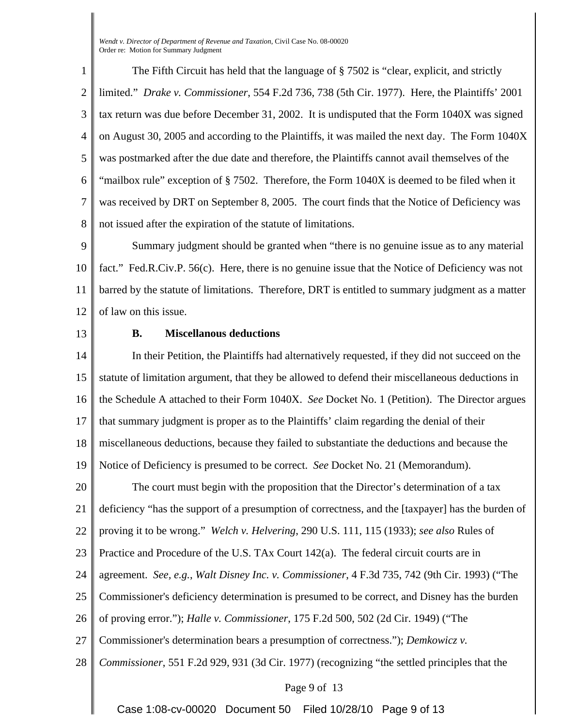1 2 3 4 5 6 7 8 The Fifth Circuit has held that the language of § 7502 is "clear, explicit, and strictly limited." *Drake v. Commissioner*, 554 F.2d 736, 738 (5th Cir. 1977). Here, the Plaintiffs' 2001 tax return was due before December 31, 2002. It is undisputed that the Form 1040X was signed on August 30, 2005 and according to the Plaintiffs, it was mailed the next day. The Form 1040X was postmarked after the due date and therefore, the Plaintiffs cannot avail themselves of the "mailbox rule" exception of § 7502. Therefore, the Form 1040X is deemed to be filed when it was received by DRT on September 8, 2005. The court finds that the Notice of Deficiency was not issued after the expiration of the statute of limitations.

9 10 11 12 Summary judgment should be granted when "there is no genuine issue as to any material fact." Fed.R.Civ.P. 56(c). Here, there is no genuine issue that the Notice of Deficiency was not barred by the statute of limitations. Therefore, DRT is entitled to summary judgment as a matter of law on this issue.

13

## **B. Miscellanous deductions**

14 15 16 17 18 19 20 21 22 23 24 25 26 27 28 Page 9 of 13 In their Petition, the Plaintiffs had alternatively requested, if they did not succeed on the statute of limitation argument, that they be allowed to defend their miscellaneous deductions in the Schedule A attached to their Form 1040X. *See* Docket No. 1 (Petition). The Director argues that summary judgment is proper as to the Plaintiffs' claim regarding the denial of their miscellaneous deductions, because they failed to substantiate the deductions and because the Notice of Deficiency is presumed to be correct. *See* Docket No. 21 (Memorandum). The court must begin with the proposition that the Director's determination of a tax deficiency "has the support of a presumption of correctness, and the [taxpayer] has the burden of proving it to be wrong." *Welch v. Helvering*, 290 U.S. 111, 115 (1933); *see also* Rules of Practice and Procedure of the U.S. TAx Court 142(a). The federal circuit courts are in agreement. *See, e.g.*, *Walt Disney Inc. v. Commissioner*, 4 F.3d 735, 742 (9th Cir. 1993) ("The Commissioner's deficiency determination is presumed to be correct, and Disney has the burden of proving error."); *Halle v. Commissioner*, 175 F.2d 500, 502 (2d Cir. 1949) ("The Commissioner's determination bears a presumption of correctness."); *Demkowicz v. Commissioner*, 551 F.2d 929, 931 (3d Cir. 1977) (recognizing "the settled principles that the

Case 1:08-cv-00020 Document 50 Filed 10/28/10 Page 9 of 13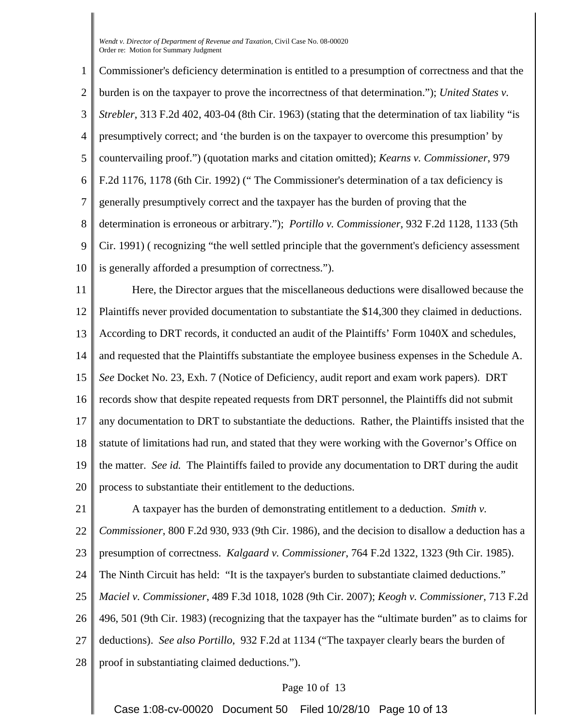1 2 3 4 5 6 7 8 9 10 Commissioner's deficiency determination is entitled to a presumption of correctness and that the burden is on the taxpayer to prove the incorrectness of that determination."); *United States v. Strebler*, 313 F.2d 402, 403-04 (8th Cir. 1963) (stating that the determination of tax liability "is presumptively correct; and 'the burden is on the taxpayer to overcome this presumption' by countervailing proof.") (quotation marks and citation omitted); *Kearns v. Commissioner*, 979 F.2d 1176, 1178 (6th Cir. 1992) (" The Commissioner's determination of a tax deficiency is generally presumptively correct and the taxpayer has the burden of proving that the determination is erroneous or arbitrary."); *Portillo v. Commissioner*, 932 F.2d 1128, 1133 (5th Cir. 1991) ( recognizing "the well settled principle that the government's deficiency assessment is generally afforded a presumption of correctness.").

11 12 13 14 15 16 17 18 19 20 Here, the Director argues that the miscellaneous deductions were disallowed because the Plaintiffs never provided documentation to substantiate the \$14,300 they claimed in deductions. According to DRT records, it conducted an audit of the Plaintiffs' Form 1040X and schedules, and requested that the Plaintiffs substantiate the employee business expenses in the Schedule A. *See* Docket No. 23, Exh. 7 (Notice of Deficiency, audit report and exam work papers). DRT records show that despite repeated requests from DRT personnel, the Plaintiffs did not submit any documentation to DRT to substantiate the deductions. Rather, the Plaintiffs insisted that the statute of limitations had run, and stated that they were working with the Governor's Office on the matter. *See id.* The Plaintiffs failed to provide any documentation to DRT during the audit process to substantiate their entitlement to the deductions.

21 22 23 24 25 26 27 28 A taxpayer has the burden of demonstrating entitlement to a deduction. *Smith v. Commissioner*, 800 F.2d 930, 933 (9th Cir. 1986), and the decision to disallow a deduction has a presumption of correctness. *Kalgaard v. Commissioner*, 764 F.2d 1322, 1323 (9th Cir. 1985). The Ninth Circuit has held: "It is the taxpayer's burden to substantiate claimed deductions." *Maciel v. Commissioner*, 489 F.3d 1018, 1028 (9th Cir. 2007); *Keogh v. Commissioner*, 713 F.2d 496, 501 (9th Cir. 1983) (recognizing that the taxpayer has the "ultimate burden" as to claims for deductions). *See also Portillo*, 932 F.2d at 1134 ("The taxpayer clearly bears the burden of proof in substantiating claimed deductions.").

## Page 10 of 13

Case 1:08-cv-00020 Document 50 Filed 10/28/10 Page 10 of 13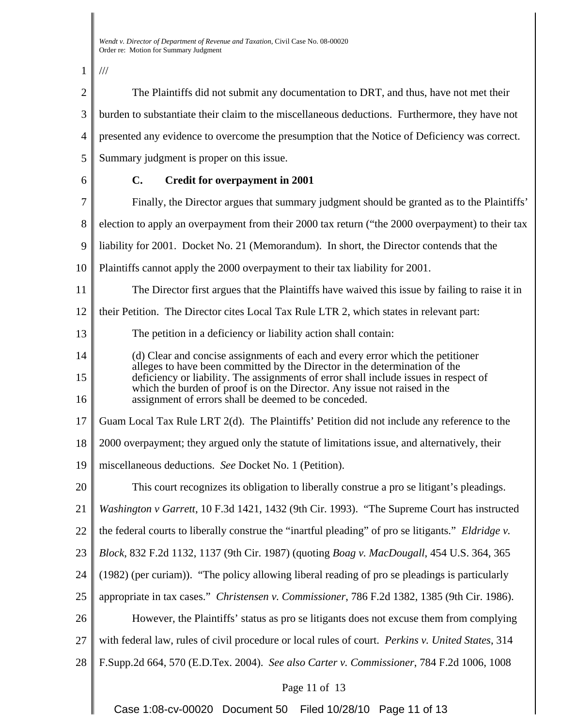1 ///

| $\overline{2}$ | The Plaintiffs did not submit any documentation to DRT, and thus, have not met their                                                                                                                                      |  |
|----------------|---------------------------------------------------------------------------------------------------------------------------------------------------------------------------------------------------------------------------|--|
| 3              | burden to substantiate their claim to the miscellaneous deductions. Furthermore, they have not                                                                                                                            |  |
| 4              | presented any evidence to overcome the presumption that the Notice of Deficiency was correct.                                                                                                                             |  |
| 5              | Summary judgment is proper on this issue.                                                                                                                                                                                 |  |
| 6              | <b>Credit for overpayment in 2001</b><br>$\mathbf{C}$ .                                                                                                                                                                   |  |
| 7              | Finally, the Director argues that summary judgment should be granted as to the Plaintiffs'                                                                                                                                |  |
| 8              | election to apply an overpayment from their 2000 tax return ("the 2000 overpayment) to their tax                                                                                                                          |  |
| 9              | liability for 2001. Docket No. 21 (Memorandum). In short, the Director contends that the                                                                                                                                  |  |
| 10             | Plaintiffs cannot apply the 2000 overpayment to their tax liability for 2001.                                                                                                                                             |  |
| 11             | The Director first argues that the Plaintiffs have waived this issue by failing to raise it in                                                                                                                            |  |
| 12             | their Petition. The Director cites Local Tax Rule LTR 2, which states in relevant part:                                                                                                                                   |  |
| 13             | The petition in a deficiency or liability action shall contain:                                                                                                                                                           |  |
| 14             | (d) Clear and concise assignments of each and every error which the petitioner<br>alleges to have been committed by the Director in the determination of the                                                              |  |
| 15<br>16       | deficiency or liability. The assignments of error shall include issues in respect of<br>which the burden of proof is on the Director. Any issue not raised in the<br>assignment of errors shall be deemed to be conceded. |  |
| 17             | Guam Local Tax Rule LRT 2(d). The Plaintiffs' Petition did not include any reference to the                                                                                                                               |  |
| 18             | 2000 overpayment; they argued only the statute of limitations issue, and alternatively, their                                                                                                                             |  |
| 19             | miscellaneous deductions. See Docket No. 1 (Petition).                                                                                                                                                                    |  |
| 20             | This court recognizes its obligation to liberally construe a pro se litigant's pleadings.                                                                                                                                 |  |
| 21             | Washington v Garrett, 10 F.3d 1421, 1432 (9th Cir. 1993). "The Supreme Court has instructed                                                                                                                               |  |
| 22             | the federal courts to liberally construe the "inartful pleading" of pro se litigants." Eldridge v.                                                                                                                        |  |
| 23             | Block, 832 F.2d 1132, 1137 (9th Cir. 1987) (quoting Boag v. MacDougall, 454 U.S. 364, 365                                                                                                                                 |  |
| 24             | (1982) (per curiam)). "The policy allowing liberal reading of pro se pleadings is particularly                                                                                                                            |  |
| 25             | appropriate in tax cases." Christensen v. Commissioner, 786 F.2d 1382, 1385 (9th Cir. 1986).                                                                                                                              |  |
| 26             | However, the Plaintiffs' status as pro se litigants does not excuse them from complying                                                                                                                                   |  |
| 27             | with federal law, rules of civil procedure or local rules of court. Perkins v. United States, 314                                                                                                                         |  |
| 28             | F.Supp.2d 664, 570 (E.D.Tex. 2004). See also Carter v. Commissioner, 784 F.2d 1006, 1008                                                                                                                                  |  |
|                | Page 11 of 13                                                                                                                                                                                                             |  |
|                | Case 1:08-cv-00020 Document 50 Filed 10/28/10 Page 11 of 13                                                                                                                                                               |  |

Case 1:08-cv-00020 Document 50 Filed 10/28/10 Page 11 of 13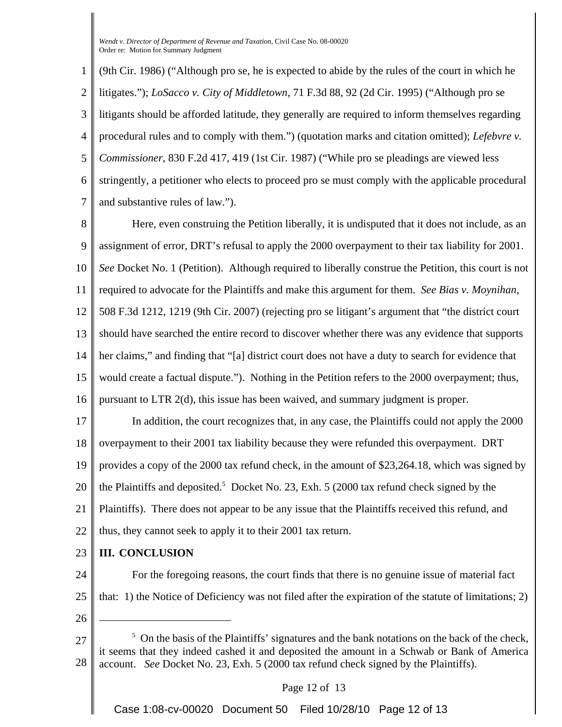1 2 3 4 5 6 7 (9th Cir. 1986) ("Although pro se, he is expected to abide by the rules of the court in which he litigates."); *LoSacco v. City of Middletown*, 71 F.3d 88, 92 (2d Cir. 1995) ("Although pro se litigants should be afforded latitude, they generally are required to inform themselves regarding procedural rules and to comply with them.") (quotation marks and citation omitted); *Lefebvre v. Commissioner*, 830 F.2d 417, 419 (1st Cir. 1987) ("While pro se pleadings are viewed less stringently, a petitioner who elects to proceed pro se must comply with the applicable procedural and substantive rules of law.").

8 9 10 11 12 13 14 15 16 Here, even construing the Petition liberally, it is undisputed that it does not include, as an assignment of error, DRT's refusal to apply the 2000 overpayment to their tax liability for 2001. *See* Docket No. 1 (Petition). Although required to liberally construe the Petition, this court is not required to advocate for the Plaintiffs and make this argument for them. *See Bias v. Moynihan*, 508 F.3d 1212, 1219 (9th Cir. 2007) (rejecting pro se litigant's argument that "the district court should have searched the entire record to discover whether there was any evidence that supports her claims," and finding that "[a] district court does not have a duty to search for evidence that would create a factual dispute."). Nothing in the Petition refers to the 2000 overpayment; thus, pursuant to LTR 2(d), this issue has been waived, and summary judgment is proper.

17 18 19 20 21 22 In addition, the court recognizes that, in any case, the Plaintiffs could not apply the 2000 overpayment to their 2001 tax liability because they were refunded this overpayment. DRT provides a copy of the 2000 tax refund check, in the amount of \$23,264.18, which was signed by the Plaintiffs and deposited.<sup>5</sup> Docket No. 23, Exh. 5 (2000 tax refund check signed by the Plaintiffs). There does not appear to be any issue that the Plaintiffs received this refund, and thus, they cannot seek to apply it to their 2001 tax return.

23 **III. CONCLUSION**

24 25 For the foregoing reasons, the court finds that there is no genuine issue of material fact that: 1) the Notice of Deficiency was not filed after the expiration of the statute of limitations; 2)

- 26
- 27 28  $<sup>5</sup>$  On the basis of the Plaintiffs' signatures and the bank notations on the back of the check,</sup> it seems that they indeed cashed it and deposited the amount in a Schwab or Bank of America account. *See* Docket No. 23, Exh. 5 (2000 tax refund check signed by the Plaintiffs).

Page 12 of 13

Case 1:08-cv-00020 Document 50 Filed 10/28/10 Page 12 of 13